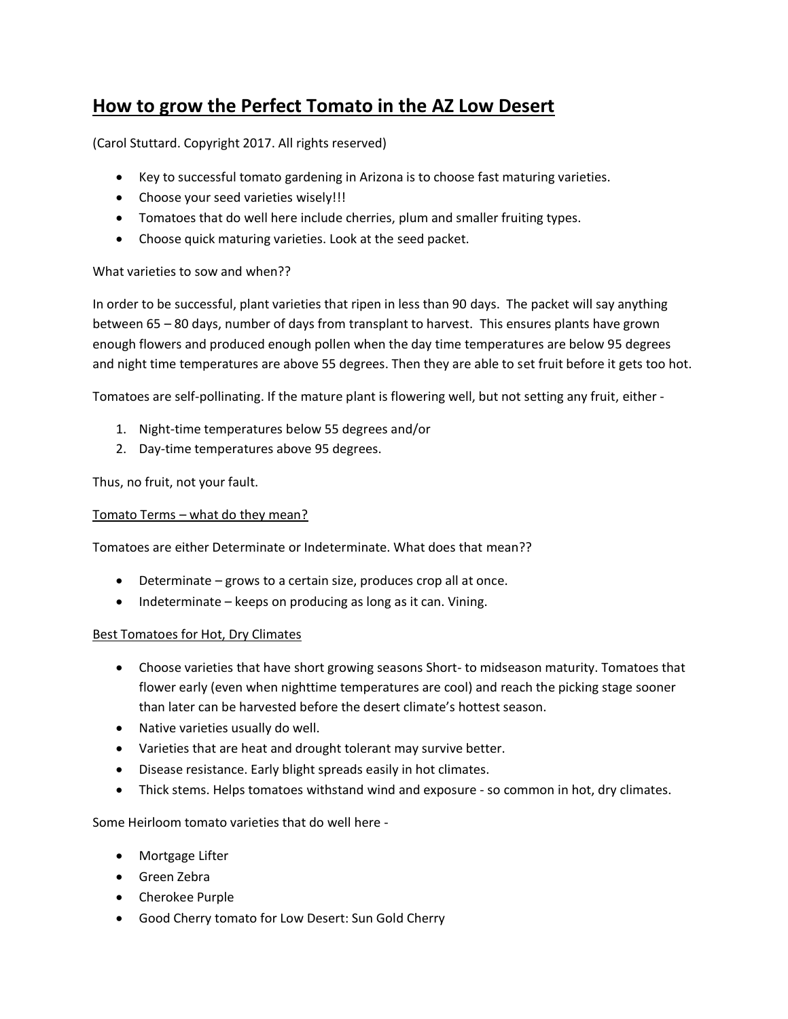# **How to grow the Perfect Tomato in the AZ Low Desert**

(Carol Stuttard. Copyright 2017. All rights reserved)

- Key to successful tomato gardening in Arizona is to choose fast maturing varieties.
- Choose your seed varieties wisely!!!
- Tomatoes that do well here include cherries, plum and smaller fruiting types.
- Choose quick maturing varieties. Look at the seed packet.

### What varieties to sow and when??

In order to be successful, plant varieties that ripen in less than 90 days. The packet will say anything between 65 – 80 days, number of days from transplant to harvest. This ensures plants have grown enough flowers and produced enough pollen when the day time temperatures are below 95 degrees and night time temperatures are above 55 degrees. Then they are able to set fruit before it gets too hot.

Tomatoes are self-pollinating. If the mature plant is flowering well, but not setting any fruit, either -

- 1. Night-time temperatures below 55 degrees and/or
- 2. Day-time temperatures above 95 degrees.

Thus, no fruit, not your fault.

#### Tomato Terms – what do they mean?

Tomatoes are either Determinate or Indeterminate. What does that mean??

- Determinate grows to a certain size, produces crop all at once.
- Indeterminate keeps on producing as long as it can. Vining.

#### Best Tomatoes for Hot, Dry Climates

- Choose varieties that have short growing seasons Short- to midseason maturity. Tomatoes that flower early (even when nighttime temperatures are cool) and reach the picking stage sooner than later can be harvested before the desert climate's hottest season.
- Native varieties usually do well.
- Varieties that are heat and drought tolerant may survive better.
- Disease resistance. Early blight spreads easily in hot climates.
- Thick stems. Helps tomatoes withstand wind and exposure so common in hot, dry climates.

Some Heirloom tomato varieties that do well here -

- Mortgage Lifter
- Green Zebra
- Cherokee Purple
- Good Cherry tomato for Low Desert: Sun Gold Cherry